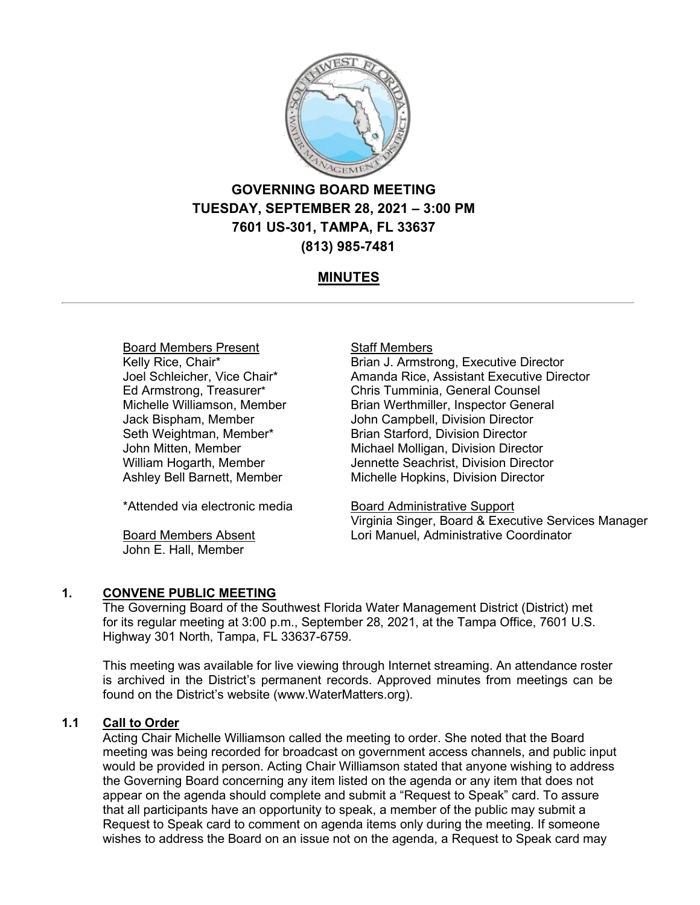

# **GOVERNING BOARD MEETING TUESDAY, SEPTEMBER 28, 2021 – 3:00 PM 7601 US-301, TAMPA, FL 33637 (813) 985-7481**

# **MINUTES**

# Board Members Present

Kelly Rice, Chair\* Joel Schleicher, Vice Chair\* Ed Armstrong, Treasurer\* Michelle Williamson, Member Jack Bispham, Member Seth Weightman, Member\* John Mitten, Member William Hogarth, Member Ashley Bell Barnett, Member

\*Attended via electronic media

Board Members Absent John E. Hall, Member

#### Staff Members

Brian J. Armstrong, Executive Director Amanda Rice, Assistant Executive Director Chris Tumminia, General Counsel Brian Werthmiller, Inspector General John Campbell, Division Director Brian Starford, Division Director Michael Molligan, Division Director Jennette Seachrist, Division Director Michelle Hopkins, Division Director

Board Administrative Support Virginia Singer, Board & Executive Services Manager Lori Manuel, Administrative Coordinator

## **1. CONVENE PUBLIC MEETING**

The Governing Board of the Southwest Florida Water Management District (District) met for its regular meeting at 3:00 p.m., September 28, 2021, at the Tampa Office, 7601 U.S. Highway 301 North, Tampa, FL 33637-6759.

This meeting was available for live viewing through Internet streaming. An attendance roster is archived in the District's permanent records. Approved minutes from meetings can be found on the District's website (www.WaterMatters.org).

# **1.1 Call to Order**

Acting Chair Michelle Williamson called the meeting to order. She noted that the Board meeting was being recorded for broadcast on government access channels, and public input would be provided in person. Acting Chair Williamson stated that anyone wishing to address the Governing Board concerning any item listed on the agenda or any item that does not appear on the agenda should complete and submit a "Request to Speak" card. To assure that all participants have an opportunity to speak, a member of the public may submit a Request to Speak card to comment on agenda items only during the meeting. If someone wishes to address the Board on an issue not on the agenda, a Request to Speak card may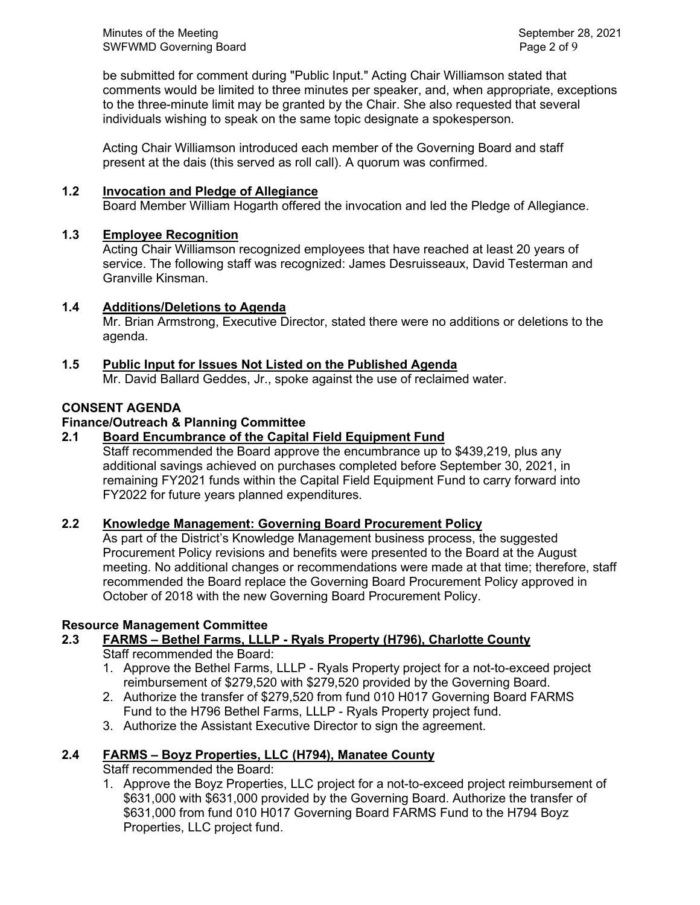Minutes of the Meeting Network Charles and September 28, 2021 SWFWMD Governing Board **Page 2 of 9** and 2 of 9

be submitted for comment during "Public Input." Acting Chair Williamson stated that comments would be limited to three minutes per speaker, and, when appropriate, exceptions to the three-minute limit may be granted by the Chair. She also requested that several individuals wishing to speak on the same topic designate a spokesperson.

Acting Chair Williamson introduced each member of the Governing Board and staff present at the dais (this served as roll call). A quorum was confirmed.

## **1.2 Invocation and Pledge of Allegiance**

Board Member William Hogarth offered the invocation and led the Pledge of Allegiance.

# **1.3 Employee Recognition**

Acting Chair Williamson recognized employees that have reached at least 20 years of service. The following staff was recognized: James Desruisseaux, David Testerman and Granville Kinsman.

# **1.4 Additions/Deletions to Agenda**

Mr. Brian Armstrong, Executive Director, stated there were no additions or deletions to the agenda.

# **1.5 Public Input for Issues Not Listed on the Published Agenda**

Mr. David Ballard Geddes, Jr., spoke against the use of reclaimed water.

# **CONSENT AGENDA**

# **Finance/Outreach & Planning Committee**

# **2.1 Board Encumbrance of the Capital Field Equipment Fund**

Staff recommended the Board approve the encumbrance up to \$439,219, plus any additional savings achieved on purchases completed before September 30, 2021, in remaining FY2021 funds within the Capital Field Equipment Fund to carry forward into FY2022 for future years planned expenditures.

## **2.2 Knowledge Management: Governing Board Procurement Policy**

As part of the District's Knowledge Management business process, the suggested Procurement Policy revisions and benefits were presented to the Board at the August meeting. No additional changes or recommendations were made at that time; therefore, staff recommended the Board replace the Governing Board Procurement Policy approved in October of 2018 with the new Governing Board Procurement Policy.

## **Resource Management Committee**

# **2.3 FARMS – Bethel Farms, LLLP - Ryals Property (H796), Charlotte County**

Staff recommended the Board:

- 1. Approve the Bethel Farms, LLLP Ryals Property project for a not-to-exceed project reimbursement of \$279,520 with \$279,520 provided by the Governing Board.
- 2. Authorize the transfer of \$279,520 from fund 010 H017 Governing Board FARMS Fund to the H796 Bethel Farms, LLLP - Ryals Property project fund.
- 3. Authorize the Assistant Executive Director to sign the agreement.

# **2.4 FARMS – Boyz Properties, LLC (H794), Manatee County**

# Staff recommended the Board:

1. Approve the Boyz Properties, LLC project for a not-to-exceed project reimbursement of \$631,000 with \$631,000 provided by the Governing Board. Authorize the transfer of \$631,000 from fund 010 H017 Governing Board FARMS Fund to the H794 Boyz Properties, LLC project fund.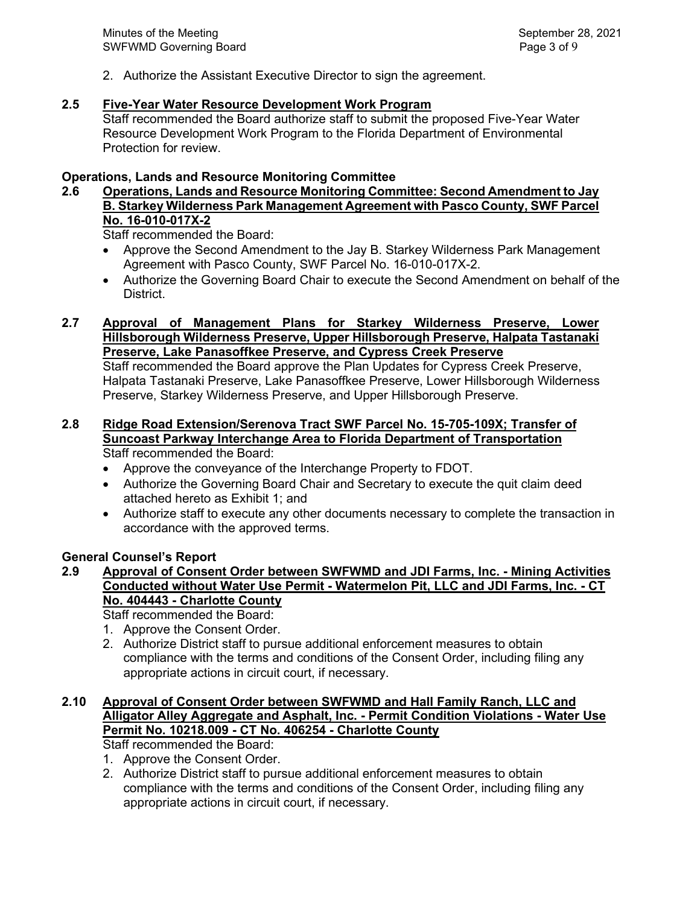2. Authorize the Assistant Executive Director to sign the agreement.

## **2.5 Five-Year Water Resource Development Work Program**

Staff recommended the Board authorize staff to submit the proposed Five-Year Water Resource Development Work Program to the Florida Department of Environmental Protection for review.

#### **Operations, Lands and Resource Monitoring Committee**

# **2.6 Operations, Lands and Resource Monitoring Committee: Second Amendment to Jay B. Starkey Wilderness Park Management Agreement with Pasco County, SWF Parcel No. 16-010-017X-2**

Staff recommended the Board:

- Approve the Second Amendment to the Jay B. Starkey Wilderness Park Management Agreement with Pasco County, SWF Parcel No. 16-010-017X-2.
- Authorize the Governing Board Chair to execute the Second Amendment on behalf of the District.
- **2.7 Approval of Management Plans for Starkey Wilderness Preserve, Lower Hillsborough Wilderness Preserve, Upper Hillsborough Preserve, Halpata Tastanaki Preserve, Lake Panasoffkee Preserve, and Cypress Creek Preserve**

Staff recommended the Board approve the Plan Updates for Cypress Creek Preserve, Halpata Tastanaki Preserve, Lake Panasoffkee Preserve, Lower Hillsborough Wilderness Preserve, Starkey Wilderness Preserve, and Upper Hillsborough Preserve.

#### **2.8 Ridge Road Extension/Serenova Tract SWF Parcel No. 15-705-109X; Transfer of Suncoast Parkway Interchange Area to Florida Department of Transportation** Staff recommended the Board:

- Approve the conveyance of the Interchange Property to FDOT.
- Authorize the Governing Board Chair and Secretary to execute the quit claim deed attached hereto as Exhibit 1; and
- Authorize staff to execute any other documents necessary to complete the transaction in accordance with the approved terms.

## **General Counsel's Report**

**2.9 Approval of Consent Order between SWFWMD and JDI Farms, Inc. - Mining Activities Conducted without Water Use Permit - Watermelon Pit, LLC and JDI Farms, Inc. - CT No. 404443 - Charlotte County**

Staff recommended the Board:

- 1. Approve the Consent Order.
- 2. Authorize District staff to pursue additional enforcement measures to obtain compliance with the terms and conditions of the Consent Order, including filing any appropriate actions in circuit court, if necessary.

#### **2.10 Approval of Consent Order between SWFWMD and Hall Family Ranch, LLC and Alligator Alley Aggregate and Asphalt, Inc. - Permit Condition Violations - Water Use Permit No. 10218.009 - CT No. 406254 - Charlotte County**

Staff recommended the Board:

- 1. Approve the Consent Order.
- 2. Authorize District staff to pursue additional enforcement measures to obtain compliance with the terms and conditions of the Consent Order, including filing any appropriate actions in circuit court, if necessary.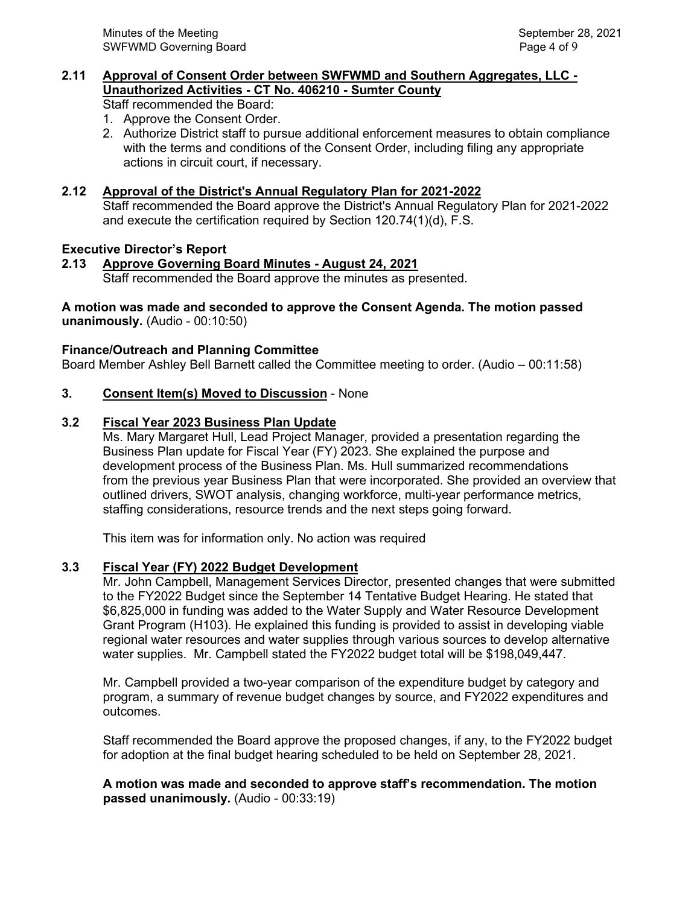# **2.11 Approval of Consent Order between SWFWMD and Southern Aggregates, LLC - Unauthorized Activities - CT No. 406210 - Sumter County**

Staff recommended the Board:

- 1. Approve the Consent Order.
- 2. Authorize District staff to pursue additional enforcement measures to obtain compliance with the terms and conditions of the Consent Order, including filing any appropriate actions in circuit court, if necessary.

# **2.12 Approval of the District's Annual Regulatory Plan for 2021-2022**

Staff recommended the Board approve the District's Annual Regulatory Plan for 2021-2022 and execute the certification required by Section 120.74(1)(d), F.S.

## **Executive Director's Report**

# **2.13 Approve Governing Board Minutes - August 24, 2021**

Staff recommended the Board approve the minutes as presented.

#### **A motion was made and seconded to approve the Consent Agenda. The motion passed unanimously.** (Audio - 00:10:50)

## **Finance/Outreach and Planning Committee**

Board Member Ashley Bell Barnett called the Committee meeting to order. (Audio – 00:11:58)

# **3. Consent Item(s) Moved to Discussion** - None

# **3.2 Fiscal Year 2023 Business Plan Update**

Ms. Mary Margaret Hull, Lead Project Manager, provided a presentation regarding the Business Plan update for Fiscal Year (FY) 2023. She explained the purpose and development process of the Business Plan. Ms. Hull summarized recommendations from the previous year Business Plan that were incorporated. She provided an overview that outlined drivers, SWOT analysis, changing workforce, multi-year performance metrics, staffing considerations, resource trends and the next steps going forward.

This item was for information only. No action was required

## **3.3 Fiscal Year (FY) 2022 Budget Development**

Mr. John Campbell, Management Services Director, presented changes that were submitted to the FY2022 Budget since the September 14 Tentative Budget Hearing. He stated that \$6,825,000 in funding was added to the Water Supply and Water Resource Development Grant Program (H103). He explained this funding is provided to assist in developing viable regional water resources and water supplies through various sources to develop alternative water supplies. Mr. Campbell stated the FY2022 budget total will be \$198,049,447.

Mr. Campbell provided a two-year comparison of the expenditure budget by category and program, a summary of revenue budget changes by source, and FY2022 expenditures and outcomes.

Staff recommended the Board approve the proposed changes, if any, to the FY2022 budget for adoption at the final budget hearing scheduled to be held on September 28, 2021.

## **A motion was made and seconded to approve staff's recommendation. The motion passed unanimously.** (Audio - 00:33:19)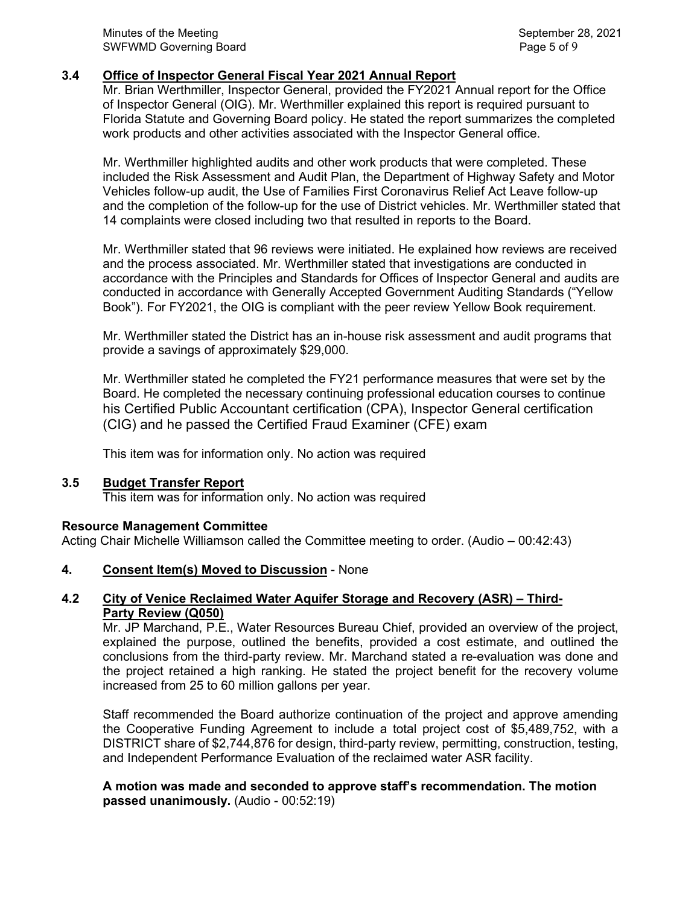# **3.4 Office of Inspector General Fiscal Year 2021 Annual Report**

 Mr. Brian Werthmiller, Inspector General, provided the FY2021 Annual report for the Office of Inspector General (OIG). Mr. Werthmiller explained this report is required pursuant to Florida Statute and Governing Board policy. He stated the report summarizes the completed work products and other activities associated with the Inspector General office.

Mr. Werthmiller highlighted audits and other work products that were completed. These included the Risk Assessment and Audit Plan, the Department of Highway Safety and Motor Vehicles follow-up audit, the Use of Families First Coronavirus Relief Act Leave follow-up and the completion of the follow-up for the use of District vehicles. Mr. Werthmiller stated that 14 complaints were closed including two that resulted in reports to the Board.

Mr. Werthmiller stated that 96 reviews were initiated. He explained how reviews are received and the process associated. Mr. Werthmiller stated that investigations are conducted in accordance with the Principles and Standards for Offices of Inspector General and audits are conducted in accordance with Generally Accepted Government Auditing Standards ("Yellow Book"). For FY2021, the OIG is compliant with the peer review Yellow Book requirement.

Mr. Werthmiller stated the District has an in-house risk assessment and audit programs that provide a savings of approximately \$29,000.

Mr. Werthmiller stated he completed the FY21 performance measures that were set by the Board. He completed the necessary continuing professional education courses to continue his Certified Public Accountant certification (CPA), Inspector General certification (CIG) and he passed the Certified Fraud Examiner (CFE) exam

This item was for information only. No action was required

## **3.5 Budget Transfer Report**

This item was for information only. No action was required

#### **Resource Management Committee**

Acting Chair Michelle Williamson called the Committee meeting to order. (Audio – 00:42:43)

#### **4. Consent Item(s) Moved to Discussion** - None

## **4.2 City of Venice Reclaimed Water Aquifer Storage and Recovery (ASR) – Third-Party Review (Q050)**

Mr. JP Marchand, P.E., Water Resources Bureau Chief, provided an overview of the project, explained the purpose, outlined the benefits, provided a cost estimate, and outlined the conclusions from the third-party review. Mr. Marchand stated a re-evaluation was done and the project retained a high ranking. He stated the project benefit for the recovery volume increased from 25 to 60 million gallons per year.

Staff recommended the Board authorize continuation of the project and approve amending the Cooperative Funding Agreement to include a total project cost of \$5,489,752, with a DISTRICT share of \$2,744,876 for design, third-party review, permitting, construction, testing, and Independent Performance Evaluation of the reclaimed water ASR facility.

**A motion was made and seconded to approve staff's recommendation. The motion passed unanimously.** (Audio - 00:52:19)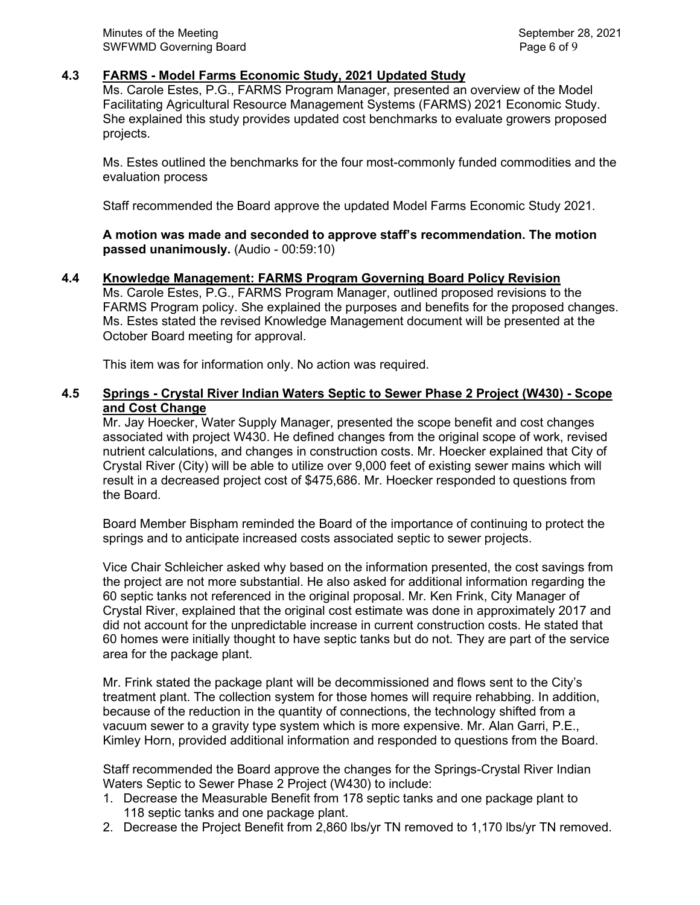## **4.3 FARMS - Model Farms Economic Study, 2021 Updated Study**

Ms. Carole Estes, P.G., FARMS Program Manager, presented an overview of the Model Facilitating Agricultural Resource Management Systems (FARMS) 2021 Economic Study. She explained this study provides updated cost benchmarks to evaluate growers proposed projects.

Ms. Estes outlined the benchmarks for the four most-commonly funded commodities and the evaluation process

Staff recommended the Board approve the updated Model Farms Economic Study 2021.

**A motion was made and seconded to approve staff's recommendation. The motion passed unanimously.** (Audio - 00:59:10)

#### **4.4 Knowledge Management: FARMS Program Governing Board Policy Revision**

Ms. Carole Estes, P.G., FARMS Program Manager, outlined proposed revisions to the FARMS Program policy. She explained the purposes and benefits for the proposed changes. Ms. Estes stated the revised Knowledge Management document will be presented at the October Board meeting for approval.

This item was for information only. No action was required.

## **4.5 Springs - Crystal River Indian Waters Septic to Sewer Phase 2 Project (W430) - Scope and Cost Change**

Mr. Jay Hoecker, Water Supply Manager, presented the scope benefit and cost changes associated with project W430. He defined changes from the original scope of work, revised nutrient calculations, and changes in construction costs. Mr. Hoecker explained that City of Crystal River (City) will be able to utilize over 9,000 feet of existing sewer mains which will result in a decreased project cost of \$475,686. Mr. Hoecker responded to questions from the Board.

Board Member Bispham reminded the Board of the importance of continuing to protect the springs and to anticipate increased costs associated septic to sewer projects.

Vice Chair Schleicher asked why based on the information presented, the cost savings from the project are not more substantial. He also asked for additional information regarding the 60 septic tanks not referenced in the original proposal. Mr. Ken Frink, City Manager of Crystal River, explained that the original cost estimate was done in approximately 2017 and did not account for the unpredictable increase in current construction costs. He stated that 60 homes were initially thought to have septic tanks but do not. They are part of the service area for the package plant.

Mr. Frink stated the package plant will be decommissioned and flows sent to the City's treatment plant. The collection system for those homes will require rehabbing. In addition, because of the reduction in the quantity of connections, the technology shifted from a vacuum sewer to a gravity type system which is more expensive. Mr. Alan Garri, P.E., Kimley Horn, provided additional information and responded to questions from the Board.

Staff recommended the Board approve the changes for the Springs-Crystal River Indian Waters Septic to Sewer Phase 2 Project (W430) to include:

- 1. Decrease the Measurable Benefit from 178 septic tanks and one package plant to 118 septic tanks and one package plant.
- 2. Decrease the Project Benefit from 2,860 lbs/yr TN removed to 1,170 lbs/yr TN removed.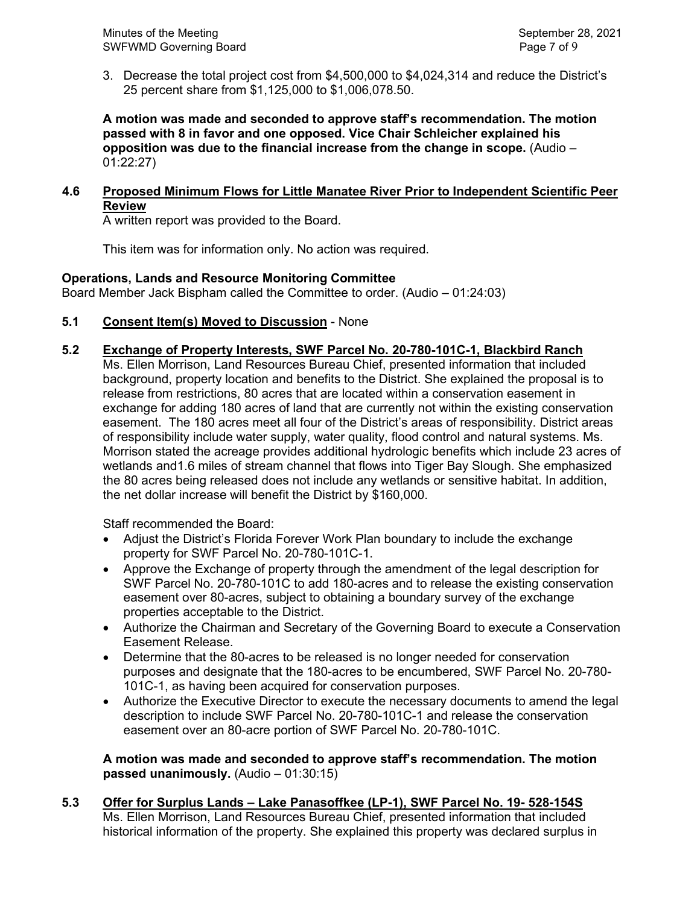3. Decrease the total project cost from \$4,500,000 to \$4,024,314 and reduce the District's 25 percent share from \$1,125,000 to \$1,006,078.50.

**A motion was made and seconded to approve staff's recommendation. The motion passed with 8 in favor and one opposed. Vice Chair Schleicher explained his opposition was due to the financial increase from the change in scope.** (Audio – 01:22:27)

# **4.6 Proposed Minimum Flows for Little Manatee River Prior to Independent Scientific Peer Review**

A written report was provided to the Board.

This item was for information only. No action was required.

## **Operations, Lands and Resource Monitoring Committee**

Board Member Jack Bispham called the Committee to order. (Audio – 01:24:03)

**5.1 Consent Item(s) Moved to Discussion** - None

## **5.2 Exchange of Property Interests, SWF Parcel No. 20-780-101C-1, Blackbird Ranch**

Ms. Ellen Morrison, Land Resources Bureau Chief, presented information that included background, property location and benefits to the District. She explained the proposal is to release from restrictions, 80 acres that are located within a conservation easement in exchange for adding 180 acres of land that are currently not within the existing conservation easement. The 180 acres meet all four of the District's areas of responsibility. District areas of responsibility include water supply, water quality, flood control and natural systems. Ms. Morrison stated the acreage provides additional hydrologic benefits which include 23 acres of wetlands and1.6 miles of stream channel that flows into Tiger Bay Slough. She emphasized the 80 acres being released does not include any wetlands or sensitive habitat. In addition, the net dollar increase will benefit the District by \$160,000.

Staff recommended the Board:

- Adjust the District's Florida Forever Work Plan boundary to include the exchange property for SWF Parcel No. 20-780-101C-1.
- Approve the Exchange of property through the amendment of the legal description for SWF Parcel No. 20-780-101C to add 180-acres and to release the existing conservation easement over 80-acres, subject to obtaining a boundary survey of the exchange properties acceptable to the District.
- Authorize the Chairman and Secretary of the Governing Board to execute a Conservation Easement Release.
- Determine that the 80-acres to be released is no longer needed for conservation purposes and designate that the 180-acres to be encumbered, SWF Parcel No. 20-780- 101C-1, as having been acquired for conservation purposes.
- Authorize the Executive Director to execute the necessary documents to amend the legal description to include SWF Parcel No. 20-780-101C-1 and release the conservation easement over an 80-acre portion of SWF Parcel No. 20-780-101C.

#### **A motion was made and seconded to approve staff's recommendation. The motion passed unanimously.** (Audio – 01:30:15)

# **5.3 Offer for Surplus Lands – Lake Panasoffkee (LP-1), SWF Parcel No. 19- 528-154S**

Ms. Ellen Morrison, Land Resources Bureau Chief, presented information that included historical information of the property. She explained this property was declared surplus in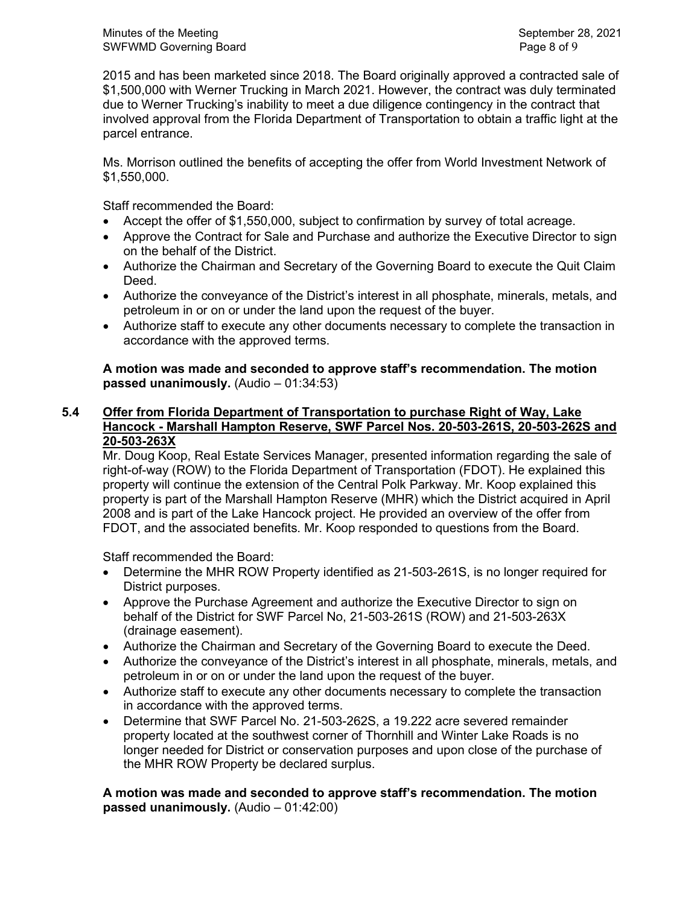Minutes of the Meeting Network Charles and September 28, 2021 SWFWMD Governing Board **Page 8 of 9** and 2008 and 2009 and 2009 and 2009 and 2009 and 2009 and 2009 and 2009 and 2009 and 2009 and 2009 and 2009 and 2009 and 2009 and 2009 and 2009 and 2009 and 2009 and 2009 and 2009 and 2

2015 and has been marketed since 2018. The Board originally approved a contracted sale of \$1,500,000 with Werner Trucking in March 2021. However, the contract was duly terminated due to Werner Trucking's inability to meet a due diligence contingency in the contract that involved approval from the Florida Department of Transportation to obtain a traffic light at the parcel entrance.

Ms. Morrison outlined the benefits of accepting the offer from World Investment Network of \$1,550,000.

Staff recommended the Board:

- Accept the offer of \$1,550,000, subject to confirmation by survey of total acreage.
- Approve the Contract for Sale and Purchase and authorize the Executive Director to sign on the behalf of the District.
- Authorize the Chairman and Secretary of the Governing Board to execute the Quit Claim Deed.
- Authorize the conveyance of the District's interest in all phosphate, minerals, metals, and petroleum in or on or under the land upon the request of the buyer.
- Authorize staff to execute any other documents necessary to complete the transaction in accordance with the approved terms.

# **A motion was made and seconded to approve staff's recommendation. The motion passed unanimously.** (Audio – 01:34:53)

#### **5.4 Offer from Florida Department of Transportation to purchase Right of Way, Lake Hancock - Marshall Hampton Reserve, SWF Parcel Nos. 20-503-261S, 20-503-262S and 20-503-263X**

Mr. Doug Koop, Real Estate Services Manager, presented information regarding the sale of right-of-way (ROW) to the Florida Department of Transportation (FDOT). He explained this property will continue the extension of the Central Polk Parkway. Mr. Koop explained this property is part of the Marshall Hampton Reserve (MHR) which the District acquired in April 2008 and is part of the Lake Hancock project. He provided an overview of the offer from FDOT, and the associated benefits. Mr. Koop responded to questions from the Board.

Staff recommended the Board:

- Determine the MHR ROW Property identified as 21-503-261S, is no longer required for District purposes.
- Approve the Purchase Agreement and authorize the Executive Director to sign on behalf of the District for SWF Parcel No, 21-503-261S (ROW) and 21-503-263X (drainage easement).
- Authorize the Chairman and Secretary of the Governing Board to execute the Deed.
- Authorize the conveyance of the District's interest in all phosphate, minerals, metals, and petroleum in or on or under the land upon the request of the buyer.
- Authorize staff to execute any other documents necessary to complete the transaction in accordance with the approved terms.
- Determine that SWF Parcel No. 21-503-262S, a 19.222 acre severed remainder property located at the southwest corner of Thornhill and Winter Lake Roads is no longer needed for District or conservation purposes and upon close of the purchase of the MHR ROW Property be declared surplus.

**A motion was made and seconded to approve staff's recommendation. The motion passed unanimously.** (Audio – 01:42:00)